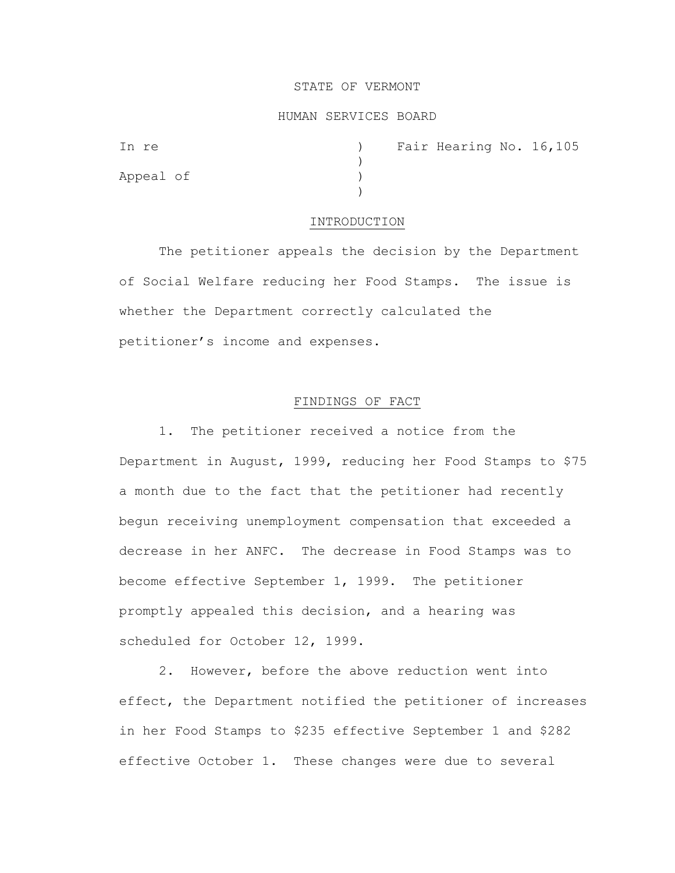# STATE OF VERMONT

# HUMAN SERVICES BOARD

| In re     | Fair Hearing No. 16,105 |
|-----------|-------------------------|
| Appeal of |                         |
|           |                         |
|           |                         |

#### INTRODUCTION

The petitioner appeals the decision by the Department of Social Welfare reducing her Food Stamps. The issue is whether the Department correctly calculated the petitioner's income and expenses.

## FINDINGS OF FACT

1. The petitioner received a notice from the Department in August, 1999, reducing her Food Stamps to \$75 a month due to the fact that the petitioner had recently begun receiving unemployment compensation that exceeded a decrease in her ANFC. The decrease in Food Stamps was to become effective September 1, 1999. The petitioner promptly appealed this decision, and a hearing was scheduled for October 12, 1999.

2. However, before the above reduction went into effect, the Department notified the petitioner of increases in her Food Stamps to \$235 effective September 1 and \$282 effective October 1. These changes were due to several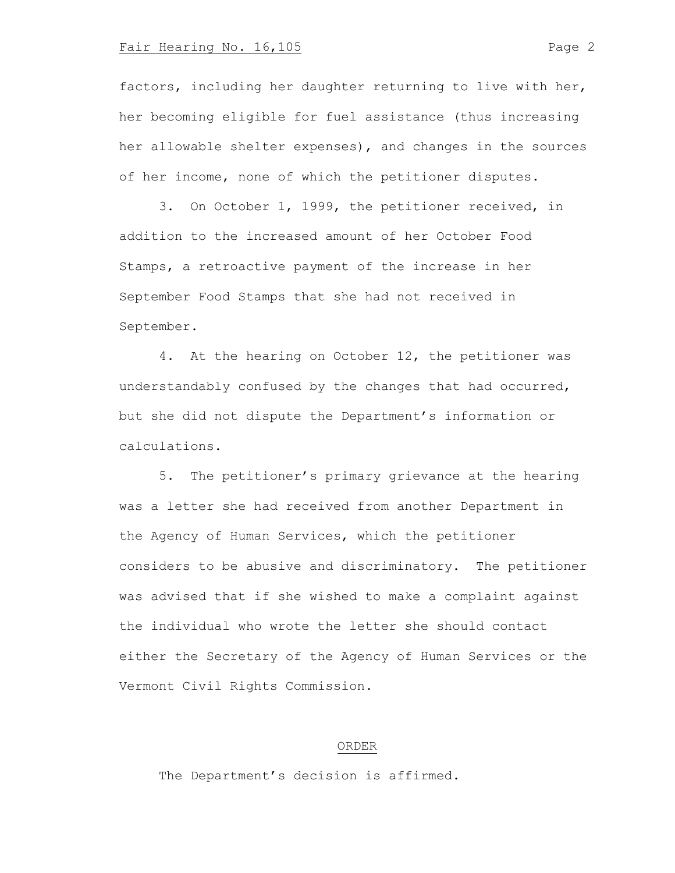## Fair Hearing No. 16,105 Page 2

factors, including her daughter returning to live with her, her becoming eligible for fuel assistance (thus increasing her allowable shelter expenses), and changes in the sources of her income, none of which the petitioner disputes.

3. On October 1, 1999, the petitioner received, in addition to the increased amount of her October Food Stamps, a retroactive payment of the increase in her September Food Stamps that she had not received in September.

4. At the hearing on October 12, the petitioner was understandably confused by the changes that had occurred, but she did not dispute the Department's information or calculations.

5. The petitioner's primary grievance at the hearing was a letter she had received from another Department in the Agency of Human Services, which the petitioner considers to be abusive and discriminatory. The petitioner was advised that if she wished to make a complaint against the individual who wrote the letter she should contact either the Secretary of the Agency of Human Services or the Vermont Civil Rights Commission.

#### ORDER

The Department's decision is affirmed.